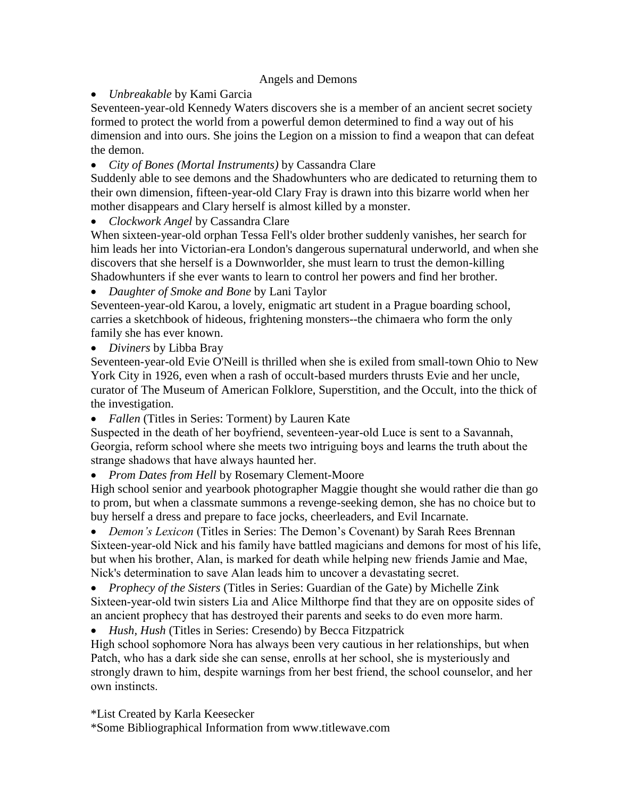## Angels and Demons

*Unbreakable* by Kami Garcia

Seventeen-year-old Kennedy Waters discovers she is a member of an ancient secret society formed to protect the world from a powerful demon determined to find a way out of his dimension and into ours. She joins the Legion on a mission to find a weapon that can defeat the demon.

*City of Bones (Mortal Instruments)* by Cassandra Clare

Suddenly able to see demons and the Shadowhunters who are dedicated to returning them to their own dimension, fifteen-year-old Clary Fray is drawn into this bizarre world when her mother disappears and Clary herself is almost killed by a monster.

*Clockwork Angel* by Cassandra Clare

When sixteen-year-old orphan Tessa Fell's older brother suddenly vanishes, her search for him leads her into Victorian-era London's dangerous supernatural underworld, and when she discovers that she herself is a Downworlder, she must learn to trust the demon-killing Shadowhunters if she ever wants to learn to control her powers and find her brother.

*Daughter of Smoke and Bone* by Lani Taylor

Seventeen-year-old Karou, a lovely, enigmatic art student in a Prague boarding school, carries a sketchbook of hideous, frightening monsters--the chimaera who form the only family she has ever known.

*Diviners* by Libba Bray

Seventeen-year-old Evie O'Neill is thrilled when she is exiled from small-town Ohio to New York City in 1926, even when a rash of occult-based murders thrusts Evie and her uncle, curator of The Museum of American Folklore, Superstition, and the Occult, into the thick of the investigation.

*Fallen* (Titles in Series: Torment) by Lauren Kate

Suspected in the death of her boyfriend, seventeen-year-old Luce is sent to a Savannah, Georgia, reform school where she meets two intriguing boys and learns the truth about the strange shadows that have always haunted her.

*Prom Dates from Hell* by Rosemary Clement-Moore

High school senior and yearbook photographer Maggie thought she would rather die than go to prom, but when a classmate summons a revenge-seeking demon, she has no choice but to buy herself a dress and prepare to face jocks, cheerleaders, and Evil Incarnate.

 *Demon's Lexicon* (Titles in Series: The Demon's Covenant) by Sarah Rees Brennan Sixteen-year-old Nick and his family have battled magicians and demons for most of his life, but when his brother, Alan, is marked for death while helping new friends Jamie and Mae, Nick's determination to save Alan leads him to uncover a devastating secret.

 *Prophecy of the Sisters* (Titles in Series: Guardian of the Gate) by Michelle Zink Sixteen-year-old twin sisters Lia and Alice Milthorpe find that they are on opposite sides of an ancient prophecy that has destroyed their parents and seeks to do even more harm.

*Hush, Hush* (Titles in Series: Cresendo) by Becca Fitzpatrick

High school sophomore Nora has always been very cautious in her relationships, but when Patch, who has a dark side she can sense, enrolls at her school, she is mysteriously and strongly drawn to him, despite warnings from her best friend, the school counselor, and her own instincts.

\*List Created by Karla Keesecker

\*Some Bibliographical Information from www.titlewave.com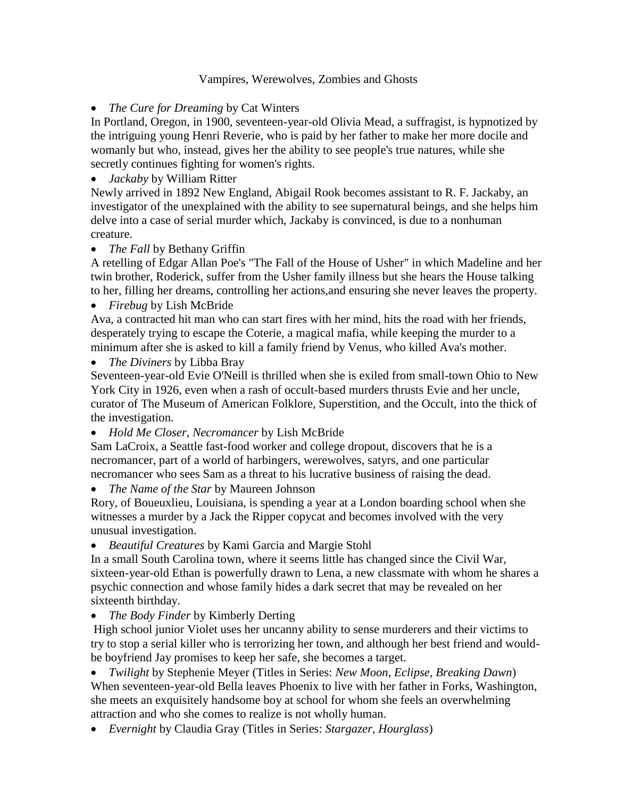## Vampires, Werewolves, Zombies and Ghosts

*The Cure for Dreaming* by Cat Winters

In Portland, Oregon, in 1900, seventeen-year-old Olivia Mead, a suffragist, is hypnotized by the intriguing young Henri Reverie, who is paid by her father to make her more docile and womanly but who, instead, gives her the ability to see people's true natures, while she secretly continues fighting for women's rights.

*Jackaby* by William Ritter

Newly arrived in 1892 New England, Abigail Rook becomes assistant to R. F. Jackaby, an investigator of the unexplained with the ability to see supernatural beings, and she helps him delve into a case of serial murder which, Jackaby is convinced, is due to a nonhuman creature.

## *The Fall* by Bethany Griffin

A retelling of Edgar Allan Poe's "The Fall of the House of Usher" in which Madeline and her twin brother, Roderick, suffer from the Usher family illness but she hears the House talking to her, filling her dreams, controlling her actions,and ensuring she never leaves the property.

*Firebug* by Lish McBride

Ava, a contracted hit man who can start fires with her mind, hits the road with her friends, desperately trying to escape the Coterie, a magical mafia, while keeping the murder to a minimum after she is asked to kill a family friend by Venus, who killed Ava's mother.

*The Diviners* by Libba Bray

Seventeen-year-old Evie O'Neill is thrilled when she is exiled from small-town Ohio to New York City in 1926, even when a rash of occult-based murders thrusts Evie and her uncle, curator of The Museum of American Folklore, Superstition, and the Occult, into the thick of the investigation.

*Hold Me Closer, Necromancer* by Lish McBride

Sam LaCroix, a Seattle fast-food worker and college dropout, discovers that he is a necromancer, part of a world of harbingers, werewolves, satyrs, and one particular necromancer who sees Sam as a threat to his lucrative business of raising the dead.

*The Name of the Star* by Maureen Johnson

Rory, of Boueuxlieu, Louisiana, is spending a year at a London boarding school when she witnesses a murder by a Jack the Ripper copycat and becomes involved with the very unusual investigation.

*Beautiful Creatures* by Kami Garcia and Margie Stohl

In a small South Carolina town, where it seems little has changed since the Civil War, sixteen-year-old Ethan is powerfully drawn to Lena, a new classmate with whom he shares a psychic connection and whose family hides a dark secret that may be revealed on her sixteenth birthday.

*The Body Finder* by Kimberly Derting

High school junior Violet uses her uncanny ability to sense murderers and their victims to try to stop a serial killer who is terrorizing her town, and although her best friend and wouldbe boyfriend Jay promises to keep her safe, she becomes a target.

 *Twilight* by Stephenie Meyer (Titles in Series: *New Moon, Eclipse, Breaking Dawn*) When seventeen-year-old Bella leaves Phoenix to live with her father in Forks, Washington, she meets an exquisitely handsome boy at school for whom she feels an overwhelming attraction and who she comes to realize is not wholly human.

*Evernight* by Claudia Gray (Titles in Series: *Stargazer, Hourglass*)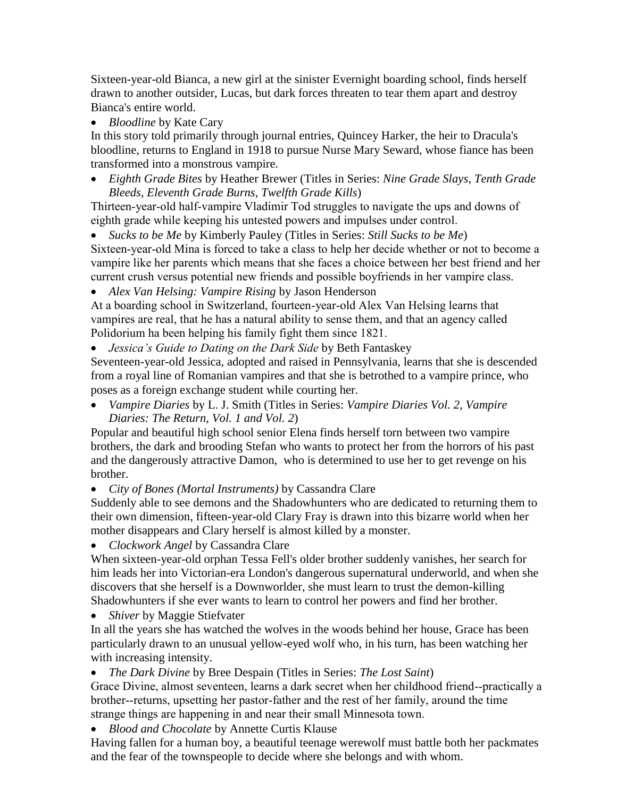Sixteen-year-old Bianca, a new girl at the sinister Evernight boarding school, finds herself drawn to another outsider, Lucas, but dark forces threaten to tear them apart and destroy Bianca's entire world.

*Bloodline* by Kate Cary

In this story told primarily through journal entries, Quincey Harker, the heir to Dracula's bloodline, returns to England in 1918 to pursue Nurse Mary Seward, whose fiance has been transformed into a monstrous vampire.

 *Eighth Grade Bites* by Heather Brewer (Titles in Series: *Nine Grade Slays, Tenth Grade Bleeds, Eleventh Grade Burns, Twelfth Grade Kills*)

Thirteen-year-old half-vampire Vladimir Tod struggles to navigate the ups and downs of eighth grade while keeping his untested powers and impulses under control.

*Sucks to be Me* by Kimberly Pauley (Titles in Series: *Still Sucks to be Me*)

Sixteen-year-old Mina is forced to take a class to help her decide whether or not to become a vampire like her parents which means that she faces a choice between her best friend and her current crush versus potential new friends and possible boyfriends in her vampire class.

*Alex Van Helsing: Vampire Rising* by Jason Henderson

At a boarding school in Switzerland, fourteen-year-old Alex Van Helsing learns that vampires are real, that he has a natural ability to sense them, and that an agency called Polidorium ha been helping his family fight them since 1821.

*Jessica's Guide to Dating on the Dark Side* by Beth Fantaskey

Seventeen-year-old Jessica, adopted and raised in Pennsylvania, learns that she is descended from a royal line of Romanian vampires and that she is betrothed to a vampire prince, who poses as a foreign exchange student while courting her.

 *Vampire Diaries* by L. J. Smith (Titles in Series: *Vampire Diaries Vol. 2, Vampire Diaries: The Return, Vol. 1 and Vol. 2*)

Popular and beautiful high school senior Elena finds herself torn between two vampire brothers, the dark and brooding Stefan who wants to protect her from the horrors of his past and the dangerously attractive Damon, who is determined to use her to get revenge on his brother.

*City of Bones (Mortal Instruments)* by Cassandra Clare

Suddenly able to see demons and the Shadowhunters who are dedicated to returning them to their own dimension, fifteen-year-old Clary Fray is drawn into this bizarre world when her mother disappears and Clary herself is almost killed by a monster.

*Clockwork Angel* by Cassandra Clare

When sixteen-year-old orphan Tessa Fell's older brother suddenly vanishes, her search for him leads her into Victorian-era London's dangerous supernatural underworld, and when she discovers that she herself is a Downworlder, she must learn to trust the demon-killing Shadowhunters if she ever wants to learn to control her powers and find her brother.

*Shiver* by Maggie Stiefvater

In all the years she has watched the wolves in the woods behind her house, Grace has been particularly drawn to an unusual yellow-eyed wolf who, in his turn, has been watching her with increasing intensity.

*The Dark Divine* by Bree Despain (Titles in Series: *The Lost Saint*)

Grace Divine, almost seventeen, learns a dark secret when her childhood friend--practically a brother--returns, upsetting her pastor-father and the rest of her family, around the time strange things are happening in and near their small Minnesota town.

*Blood and Chocolate* by Annette Curtis Klause

Having fallen for a human boy, a beautiful teenage werewolf must battle both her packmates and the fear of the townspeople to decide where she belongs and with whom.